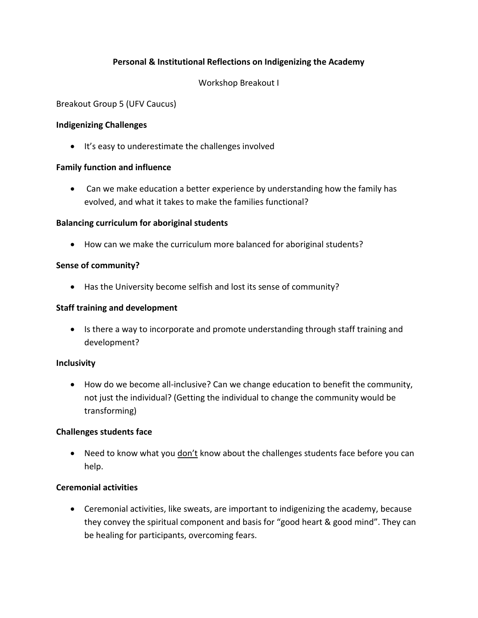# **Personal & Institutional Reflections on Indigenizing the Academy**

### Workshop Breakout I

### Breakout Group 5 (UFV Caucus)

### **Indigenizing Challenges**

It's easy to underestimate the challenges involved

### **Family function and influence**

 Can we make education a better experience by understanding how the family has evolved, and what it takes to make the families functional?

#### **Balancing curriculum for aboriginal students**

How can we make the curriculum more balanced for aboriginal students?

### **Sense of community?**

Has the University become selfish and lost its sense of community?

#### **Staff training and development**

• Is there a way to incorporate and promote understanding through staff training and development?

### **Inclusivity**

 How do we become all-inclusive? Can we change education to benefit the community, not just the individual? (Getting the individual to change the community would be transforming)

### **Challenges students face**

• Need to know what you  $don't$  know about the challenges students face before you can</u> help.

### **Ceremonial activities**

 Ceremonial activities, like sweats, are important to indigenizing the academy, because they convey the spiritual component and basis for "good heart & good mind". They can be healing for participants, overcoming fears.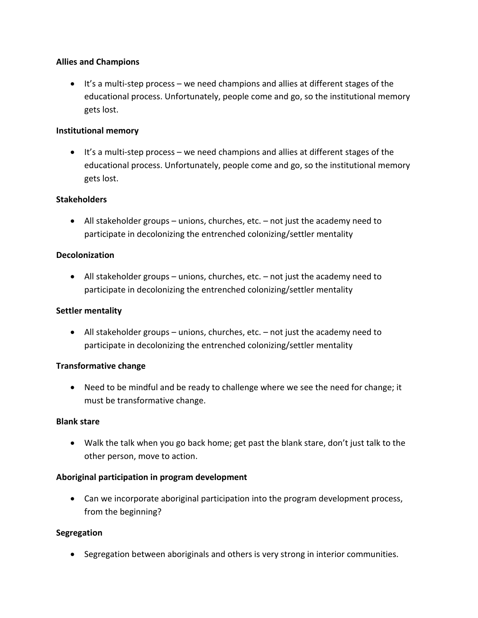### **Allies and Champions**

 $\bullet$  It's a multi-step process – we need champions and allies at different stages of the educational process. Unfortunately, people come and go, so the institutional memory gets lost.

### **Institutional memory**

 $\bullet$  It's a multi-step process – we need champions and allies at different stages of the educational process. Unfortunately, people come and go, so the institutional memory gets lost.

### **Stakeholders**

 All stakeholder groups – unions, churches, etc. – not just the academy need to participate in decolonizing the entrenched colonizing/settler mentality

### **Decolonization**

 All stakeholder groups – unions, churches, etc. – not just the academy need to participate in decolonizing the entrenched colonizing/settler mentality

### **Settler mentality**

 $\bullet$  All stakeholder groups – unions, churches, etc. – not just the academy need to participate in decolonizing the entrenched colonizing/settler mentality

### **Transformative change**

 Need to be mindful and be ready to challenge where we see the need for change; it must be transformative change.

### **Blank stare**

 Walk the talk when you go back home; get past the blank stare, don't just talk to the other person, move to action.

### **Aboriginal participation in program development**

 Can we incorporate aboriginal participation into the program development process, from the beginning?

### **Segregation**

Segregation between aboriginals and others is very strong in interior communities.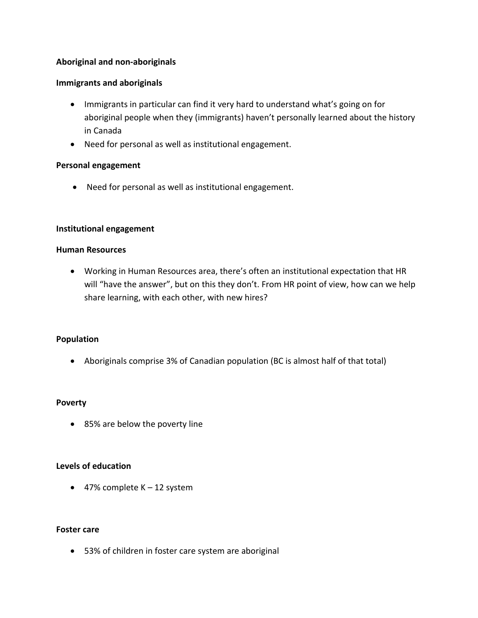### **Aboriginal and non-aboriginals**

### **Immigrants and aboriginals**

- Immigrants in particular can find it very hard to understand what's going on for aboriginal people when they (immigrants) haven't personally learned about the history in Canada
- Need for personal as well as institutional engagement.

### **Personal engagement**

Need for personal as well as institutional engagement.

### **Institutional engagement**

#### **Human Resources**

 Working in Human Resources area, there's often an institutional expectation that HR will "have the answer", but on this they don't. From HR point of view, how can we help share learning, with each other, with new hires?

### **Population**

Aboriginals comprise 3% of Canadian population (BC is almost half of that total)

### **Poverty**

85% are below the poverty line

### **Levels of education**

 $\bullet$  47% complete K – 12 system

### **Foster care**

53% of children in foster care system are aboriginal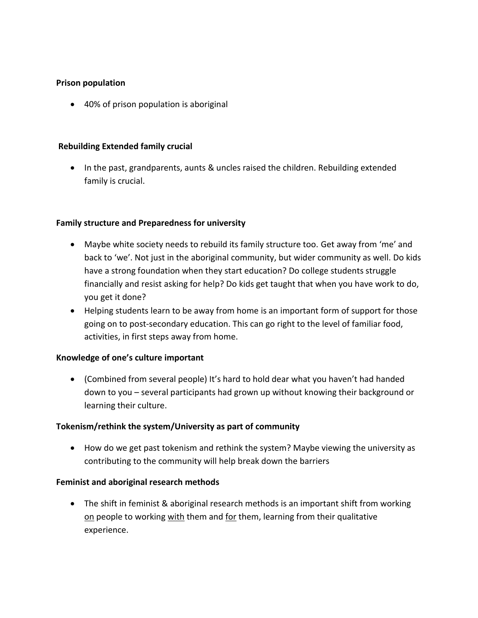### **Prison population**

40% of prison population is aboriginal

### **Rebuilding Extended family crucial**

• In the past, grandparents, aunts & uncles raised the children. Rebuilding extended family is crucial.

### **Family structure and Preparedness for university**

- Maybe white society needs to rebuild its family structure too. Get away from 'me' and back to 'we'. Not just in the aboriginal community, but wider community as well. Do kids have a strong foundation when they start education? Do college students struggle financially and resist asking for help? Do kids get taught that when you have work to do, you get it done?
- Helping students learn to be away from home is an important form of support for those going on to post-secondary education. This can go right to the level of familiar food, activities, in first steps away from home.

# **Knowledge of one's culture important**

 (Combined from several people) It's hard to hold dear what you haven't had handed down to you – several participants had grown up without knowing their background or learning their culture.

### **Tokenism/rethink the system/University as part of community**

 How do we get past tokenism and rethink the system? Maybe viewing the university as contributing to the community will help break down the barriers

# **Feminist and aboriginal research methods**

• The shift in feminist & aboriginal research methods is an important shift from working on people to working with them and for them, learning from their qualitative experience.